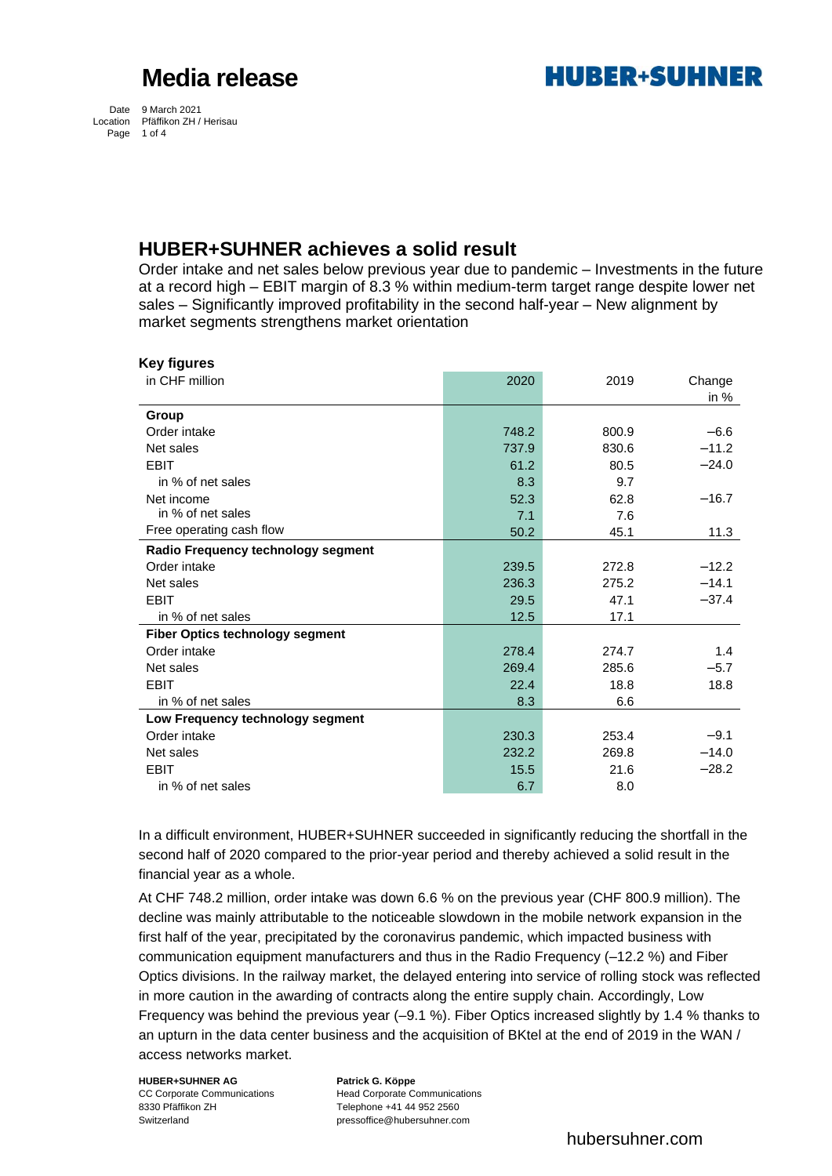**HURER+SUHNER** 

Date 9 March 2021 Location Pfäffikon ZH / Herisau Page 1 of 4

### **HUBER+SUHNER achieves a solid result**

Order intake and net sales below previous year due to pandemic – Investments in the future at a record high – EBIT margin of 8.3 % within medium-term target range despite lower net sales – Significantly improved profitability in the second half-year – New alignment by market segments strengthens market orientation

| <b>Key figures</b>                     |       |       |         |
|----------------------------------------|-------|-------|---------|
| in CHF million                         | 2020  | 2019  | Change  |
|                                        |       |       | in $%$  |
| Group                                  |       |       |         |
| Order intake                           | 748.2 | 800.9 | $-6.6$  |
| Net sales                              | 737.9 | 830.6 | $-11.2$ |
| <b>EBIT</b>                            | 61.2  | 80.5  | $-24.0$ |
| in % of net sales                      | 8.3   | 9.7   |         |
| Net income                             | 52.3  | 62.8  | $-16.7$ |
| in % of net sales                      | 7.1   | 7.6   |         |
| Free operating cash flow               | 50.2  | 45.1  | 11.3    |
| Radio Frequency technology segment     |       |       |         |
| Order intake                           | 239.5 | 272.8 | $-12.2$ |
| Net sales                              | 236.3 | 275.2 | $-14.1$ |
| <b>EBIT</b>                            | 29.5  | 47.1  | $-37.4$ |
| in % of net sales                      | 12.5  | 17.1  |         |
| <b>Fiber Optics technology segment</b> |       |       |         |
| Order intake                           | 278.4 | 274.7 | 1.4     |
| Net sales                              | 269.4 | 285.6 | $-5.7$  |
| <b>EBIT</b>                            | 22.4  | 18.8  | 18.8    |
| in % of net sales                      | 8.3   | 6.6   |         |
| Low Frequency technology segment       |       |       |         |
| Order intake                           | 230.3 | 253.4 | $-9.1$  |
| Net sales                              | 232.2 | 269.8 | $-14.0$ |
| <b>EBIT</b>                            | 15.5  | 21.6  | $-28.2$ |
| in % of net sales                      | 6.7   | 8.0   |         |

In a difficult environment, HUBER+SUHNER succeeded in significantly reducing the shortfall in the second half of 2020 compared to the prior-year period and thereby achieved a solid result in the financial year as a whole.

At CHF 748.2 million, order intake was down 6.6 % on the previous year (CHF 800.9 million). The decline was mainly attributable to the noticeable slowdown in the mobile network expansion in the first half of the year, precipitated by the coronavirus pandemic, which impacted business with communication equipment manufacturers and thus in the Radio Frequency (–12.2 %) and Fiber Optics divisions. In the railway market, the delayed entering into service of rolling stock was reflected in more caution in the awarding of contracts along the entire supply chain. Accordingly, Low Frequency was behind the previous year (–9.1 %). Fiber Optics increased slightly by 1.4 % thanks to an upturn in the data center business and the acquisition of BKtel at the end of 2019 in the WAN / access networks market.

**HUBER+SUHNER AG Patrick G. Köppe** 8330 Pfäffikon ZH Telephone +41 44 952 2560 Switzerland pressoffice@hubersuhner.com

CC Corporate Communications Head Corporate Communications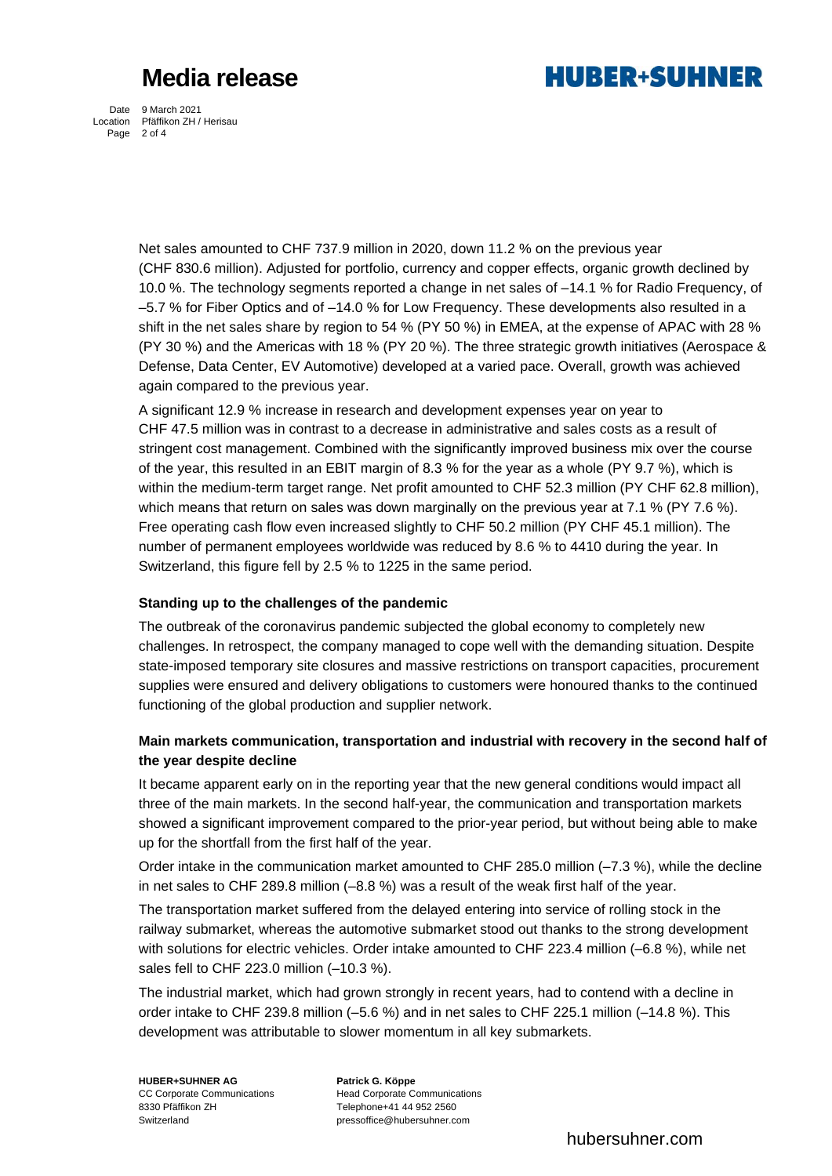

Date 9 March 2021 Location Pfäffikon ZH / Herisau Page 2 of 4

> Net sales amounted to CHF 737.9 million in 2020, down 11.2 % on the previous year (CHF 830.6 million). Adjusted for portfolio, currency and copper effects, organic growth declined by 10.0 %. The technology segments reported a change in net sales of –14.1 % for Radio Frequency, of –5.7 % for Fiber Optics and of –14.0 % for Low Frequency. These developments also resulted in a shift in the net sales share by region to 54 % (PY 50 %) in EMEA, at the expense of APAC with 28 % (PY 30 %) and the Americas with 18 % (PY 20 %). The three strategic growth initiatives (Aerospace & Defense, Data Center, EV Automotive) developed at a varied pace. Overall, growth was achieved again compared to the previous year.

A significant 12.9 % increase in research and development expenses year on year to CHF 47.5 million was in contrast to a decrease in administrative and sales costs as a result of stringent cost management. Combined with the significantly improved business mix over the course of the year, this resulted in an EBIT margin of 8.3 % for the year as a whole (PY 9.7 %), which is within the medium-term target range. Net profit amounted to CHF 52.3 million (PY CHF 62.8 million), which means that return on sales was down marginally on the previous year at 7.1 % (PY 7.6 %). Free operating cash flow even increased slightly to CHF 50.2 million (PY CHF 45.1 million). The number of permanent employees worldwide was reduced by 8.6 % to 4410 during the year. In Switzerland, this figure fell by 2.5 % to 1225 in the same period.

#### **Standing up to the challenges of the pandemic**

The outbreak of the coronavirus pandemic subjected the global economy to completely new challenges. In retrospect, the company managed to cope well with the demanding situation. Despite state-imposed temporary site closures and massive restrictions on transport capacities, procurement supplies were ensured and delivery obligations to customers were honoured thanks to the continued functioning of the global production and supplier network.

### **Main markets communication, transportation and industrial with recovery in the second half of the year despite decline**

It became apparent early on in the reporting year that the new general conditions would impact all three of the main markets. In the second half-year, the communication and transportation markets showed a significant improvement compared to the prior-year period, but without being able to make up for the shortfall from the first half of the year.

Order intake in the communication market amounted to CHF 285.0 million (–7.3 %), while the decline in net sales to CHF 289.8 million (–8.8 %) was a result of the weak first half of the year.

The transportation market suffered from the delayed entering into service of rolling stock in the railway submarket, whereas the automotive submarket stood out thanks to the strong development with solutions for electric vehicles. Order intake amounted to CHF 223.4 million (–6.8 %), while net sales fell to CHF 223.0 million (–10.3 %).

The industrial market, which had grown strongly in recent years, had to contend with a decline in order intake to CHF 239.8 million (–5.6 %) and in net sales to CHF 225.1 million (–14.8 %). This development was attributable to slower momentum in all key submarkets.

**HUBER+SUHNER AG Patrick G. Köppe** 8330 Pfäffikon ZH Telephone+41 44 952 2560 Switzerland pressoffice@hubersuhner.com

CC Corporate Communications Head Corporate Communications

hubersuhner.com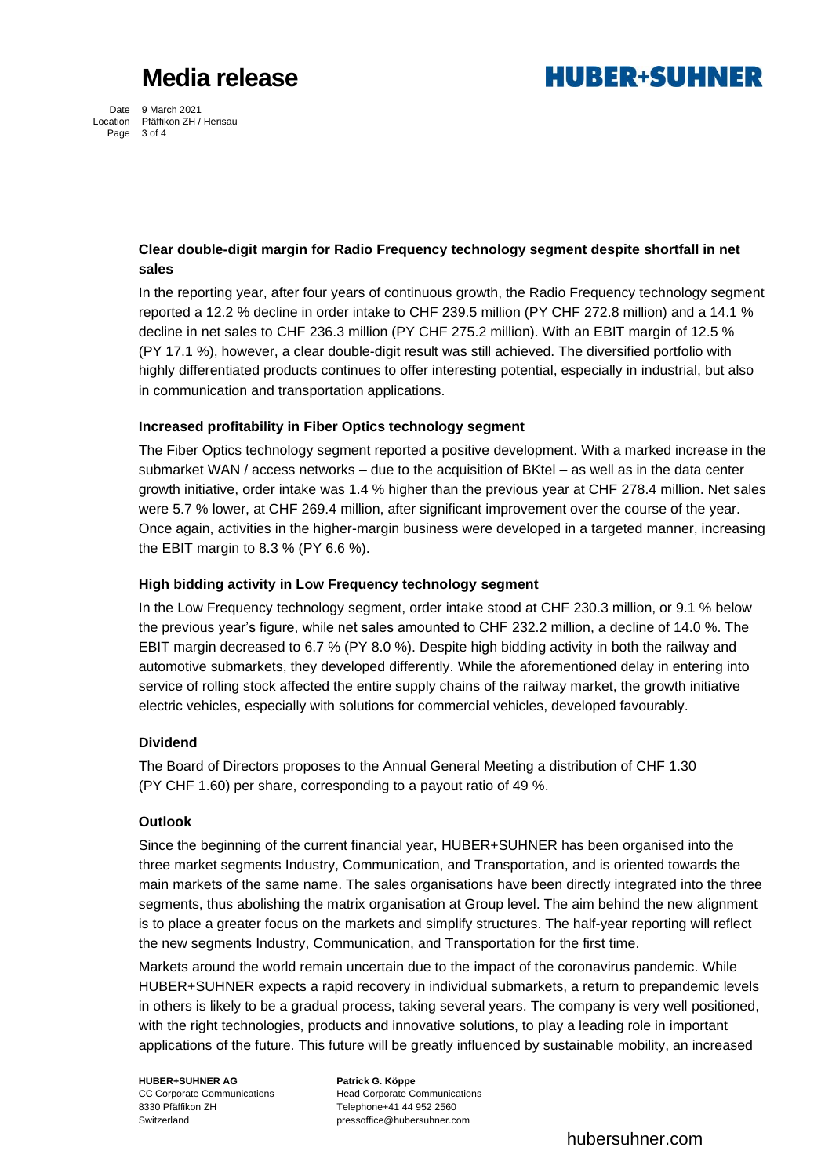

Date 9 March 2021 Location Pfäffikon ZH / Herisau Page 3 of 4

#### **Clear double-digit margin for Radio Frequency technology segment despite shortfall in net sales**

In the reporting year, after four years of continuous growth, the Radio Frequency technology segment reported a 12.2 % decline in order intake to CHF 239.5 million (PY CHF 272.8 million) and a 14.1 % decline in net sales to CHF 236.3 million (PY CHF 275.2 million). With an EBIT margin of 12.5 % (PY 17.1 %), however, a clear double-digit result was still achieved. The diversified portfolio with highly differentiated products continues to offer interesting potential, especially in industrial, but also in communication and transportation applications.

#### **Increased profitability in Fiber Optics technology segment**

The Fiber Optics technology segment reported a positive development. With a marked increase in the submarket WAN / access networks – due to the acquisition of BKtel – as well as in the data center growth initiative, order intake was 1.4 % higher than the previous year at CHF 278.4 million. Net sales were 5.7 % lower, at CHF 269.4 million, after significant improvement over the course of the year. Once again, activities in the higher-margin business were developed in a targeted manner, increasing the EBIT margin to 8.3 % (PY 6.6 %).

#### **High bidding activity in Low Frequency technology segment**

In the Low Frequency technology segment, order intake stood at CHF 230.3 million, or 9.1 % below the previous year's figure, while net sales amounted to CHF 232.2 million, a decline of 14.0 %. The EBIT margin decreased to 6.7 % (PY 8.0 %). Despite high bidding activity in both the railway and automotive submarkets, they developed differently. While the aforementioned delay in entering into service of rolling stock affected the entire supply chains of the railway market, the growth initiative electric vehicles, especially with solutions for commercial vehicles, developed favourably.

#### **Dividend**

The Board of Directors proposes to the Annual General Meeting a distribution of CHF 1.30 (PY CHF 1.60) per share, corresponding to a payout ratio of 49 %.

#### **Outlook**

Since the beginning of the current financial year, HUBER+SUHNER has been organised into the three market segments Industry, Communication, and Transportation, and is oriented towards the main markets of the same name. The sales organisations have been directly integrated into the three segments, thus abolishing the matrix organisation at Group level. The aim behind the new alignment is to place a greater focus on the markets and simplify structures. The half-year reporting will reflect the new segments Industry, Communication, and Transportation for the first time.

Markets around the world remain uncertain due to the impact of the coronavirus pandemic. While HUBER+SUHNER expects a rapid recovery in individual submarkets, a return to prepandemic levels in others is likely to be a gradual process, taking several years. The company is very well positioned, with the right technologies, products and innovative solutions, to play a leading role in important applications of the future. This future will be greatly influenced by sustainable mobility, an increased

**HUBER+SUHNER AG Patrick G. Köppe** 8330 Pfäffikon ZH Telephone+41 44 952 2560

CC Corporate Communications Head Corporate Communications Switzerland pressoffice@hubersuhner.com

hubersuhner.com